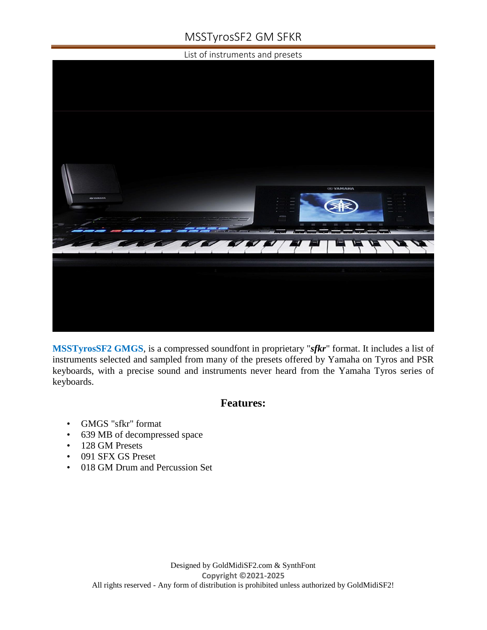# MSSTyrosSF2 GM SFKR

List of instruments and presets



**MSSTyrosSF2 GMGS**, is a compressed soundfont in proprietary "*sfkr*" format. It includes a list of instruments selected and sampled from many of the presets offered by Yamaha on Tyros and PSR keyboards, with a precise sound and instruments never heard from the Yamaha Tyros series of keyboards.

### **Features:**

- GMGS "sfkr" format
- 639 MB of decompressed space
- 128 GM Presets
- 091 SFX GS Preset
- 018 GM Drum and Percussion Set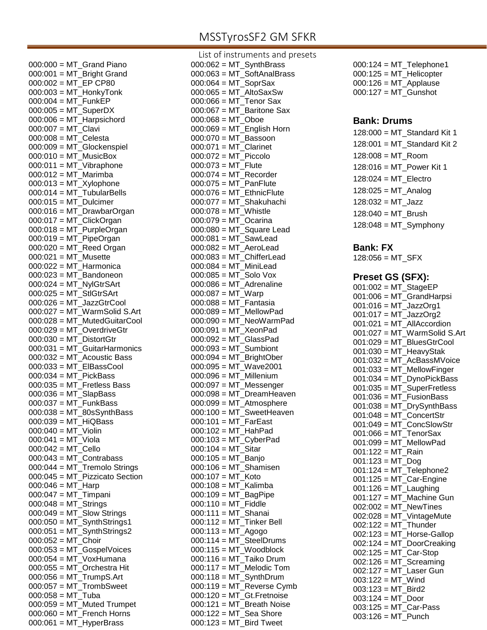### MSSTyrosSF2 GM SFKR

 $000:000 = MT$  Grand Piano 000:001 = MT\_Bright Grand 000:002 = MT\_EP CP80 000:003 = MT\_HonkyTonk 000:004 = MT\_FunkEP 000:005 = MT\_SuperDX  $000:006 = MT$  Harpsichord 000:007 = MT\_Clavi 000:008 = MT\_Celesta 000:009 = MT\_Glockenspiel 000:010 = MT\_MusicBox  $000:011 = MT$  Vibraphone 000:012 = MT\_Marimba  $000:013 = MT_X$ ylophone  $000:014 = MT$ \_TubularBells  $000:015 = MT$  Dulcimer 000:016 = MT\_DrawbarOrgan  $000:017 = MT$  ClickOrgan 000:018 = MT\_PurpleOrgan 000:019 = MT\_PipeOrgan 000:020 = MT\_Reed Organ 000:021 = MT\_Musette 000:022 = MT\_Harmonica  $000:023 = MT$  Bandoneon 000:024 = MT\_NylGtrSArt 000:025 = MT\_StlGtrSArt 000:026 = MT\_JazzGtrCool  $000:027 = MT$  WarmSolid S.Art 000:028 = MT\_MutedGuitarCool 000:029 = MT\_OverdriveGtr  $000:030 = MT$  DistortGtr 000:031 = MT\_GuitarHarmonics 000:032 = MT\_Acoustic Bass 000:033 = MT\_ElBassCool 000:034 = MT\_PickBass  $000:035 = MT\_Fretless Bass$ 000:036 = MT\_SlapBass 000:037 = MT\_FunkBass 000:038 = MT\_80sSynthBass 000:039 = MT\_HiQBass  $000:040 = MT$  Violin  $000:041 = MT$  Viola  $000:042 = MT$  Cello  $000:043 = MT\_Contrabass$ 000:044 = MT\_Tremolo Strings 000:045 = MT\_Pizzicato Section 000:046 = MT\_Harp 000:047 = MT\_Timpani 000:048 = MT\_Strings  $000:049 = MT$  Slow Strings  $000:050 = MT$  SynthStrings1  $000:051 = MT$  SynthStrings2  $000:052 = MT$ <sub>\_</sub>Choir 000:053 = MT\_GospelVoices 000:054 = MT\_VoxHumana 000:055 = MT\_Orchestra Hit  $000:056 = MT$  TrumpS.Art  $000:057 = MT$  TrombSweet 000:058 = MT\_Tuba  $000:059 = MT$  Muted Trumpet 000:060 = MT\_French Horns  $000:061 = MT$  HyperBrass

List of instruments and presets  $000:062 = MT$  SynthBrass 000:063 = MT\_SoftAnalBrass 000:064 = MT\_SoprSax 000:065 = MT\_AltoSaxSw 000:066 = MT\_Tenor Sax  $000:067 = MT$  Baritone Sax  $000:068 = MT$  Oboe  $000:069 = MT$  English Horn 000:070 = MT\_Bassoon 000:071 = MT\_Clarinet 000:072 = MT\_Piccolo  $000:073 = MT$  Flute  $000:074 = MT$  Recorder 000:075 = MT\_PanFlute  $000:076 = MT$  EthnicFlute  $000:077 = MT$  Shakuhachi  $000:078 = MT$  Whistle 000:079 = MT\_Ocarina  $000:080 = MT_Square$  Lead 000:081 = MT\_SawLead 000:082 = MT\_AeroLead 000:083 = MT\_ChifferLead 000:084 = MT\_MiniLead 000:085 = MT\_Solo Vox 000:086 = MT\_Adrenaline 000:087 = MT\_Warp 000:088 = MT\_Fantasia 000:089 = MT\_MellowPad  $000:090 = MT$  NeoWarmPad 000:091 = MT\_XeonPad 000:092 = MT\_GlassPad 000:093 = MT\_Sumbiont 000:094 = MT\_BrightOber 000:095 = MT\_Wave2001 000:096 = MT\_Millenium 000:097 = MT\_Messenger 000:098 = MT\_DreamHeaven  $000:099 = MT_A$ tmosphere  $000:100 = MT$  SweetHeaven  $000:101 = MT$  FarEast  $000:102 = MT$  HahPad 000:103 = MT\_CyberPad 000:104 = MT\_Sitar 000:105 = MT\_Banjo 000:106 = MT\_Shamisen  $000:107 = MT$  Koto 000:108 = MT\_Kalimba 000:109 = MT\_BagPipe  $000:110 = MT$  Fiddle 000:111 = MT\_Shanai  $000:112 = MT$  Tinker Bell 000:113 = MT\_Agogo  $000:114 = MT$ \_SteelDrums  $000:115 = MT$  Woodblock 000:116 = MT\_Taiko Drum 000:117 = MT\_Melodic Tom  $000:118 = MT$  SynthDrum 000:119 = MT\_Reverse Cymb  $000:120 = MT_Gt.Fretnoise$  $000:121 = MT$  Breath Noise  $000:122 = MT$  Sea Shore  $000:123$  = MT Bird Tweet

 $000:124 = MT$  Telephone1 000:125 = MT\_Helicopter 000:126 = MT\_Applause 000:127 = MT\_Gunshot

#### **Bank: Drums**

128:000 = MT\_Standard Kit 1  $128:001 = MT$  Standard Kit 2 128:008 = MT\_Room 128:016 = MT\_Power Kit 1 128:024 = MT\_Electro  $128:025 = MT$  Analog  $128:032 = MT$  Jazz 128:040 = MT\_Brush  $128:048 = MT_S$ ymphony

#### **Bank: FX**

 $128:056 = MT$  SFX

#### **Preset GS (SFX):**

 $001:002 = MT$  StageEP 001:006 = MT\_GrandHarpsi 001:016 = MT\_JazzOrg1 001:017 = MT\_JazzOrg2 001:021 = MT\_AllAccordion  $001:027 = MT$  WarmSolid S.Art 001:029 = MT\_BluesGtrCool 001:030 = MT\_HeavyStak 001:032 = MT\_AcBassMVoice  $001:033 = MT$  MellowFinger 001:034 = MT\_DynoPickBass 001:035 = MT\_SuperFretless  $001:036 = MT$  FusionBass 001:038 = MT\_DrySynthBass 001:048 = MT\_ConcertStr 001:049 = MT\_ConcSlowStr 001:066 = MT\_TenorSax 001:099 = MT\_MellowPad  $001:122 = MT$  Rain  $001:123 = MT_D$ 001:124 = MT\_Telephone2 001:125 = MT\_Car-Engine  $001:126 = MT$  Laughing  $001:127 = MT$  Machine Gun 002:002 = MT\_NewTines  $002:028 = MT_V$ intageMute 002:122 = MT\_Thunder  $002:123 = MT$  Horse-Gallop 002:124 = MT\_DoorCreaking 002:125 = MT\_Car-Stop  $002:126 = MT$ <sub>Screaming</sub> 002:127 = MT\_Laser Gun  $003:122 = MT$  Wind  $003:123 = MT$  Bird2  $003:124 = MT$  Door 003:125 = MT\_Car-Pass 003:126 = MT\_Punch